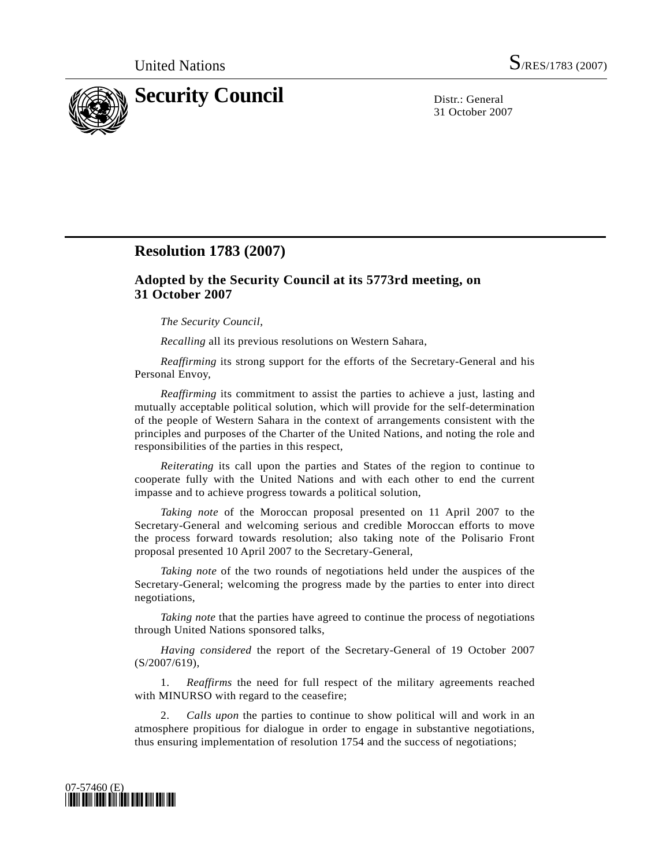

31 October 2007

## **Resolution 1783 (2007)**

## **Adopted by the Security Council at its 5773rd meeting, on 31 October 2007**

*The Security Council*,

*Recalling* all its previous resolutions on Western Sahara,

*Reaffirming* its strong support for the efforts of the Secretary-General and his Personal Envoy,

*Reaffirming* its commitment to assist the parties to achieve a just, lasting and mutually acceptable political solution, which will provide for the self-determination of the people of Western Sahara in the context of arrangements consistent with the principles and purposes of the Charter of the United Nations, and noting the role and responsibilities of the parties in this respect,

*Reiterating* its call upon the parties and States of the region to continue to cooperate fully with the United Nations and with each other to end the current impasse and to achieve progress towards a political solution,

*Taking note* of the Moroccan proposal presented on 11 April 2007 to the Secretary-General and welcoming serious and credible Moroccan efforts to move the process forward towards resolution; also taking note of the Polisario Front proposal presented 10 April 2007 to the Secretary-General,

*Taking note* of the two rounds of negotiations held under the auspices of the Secretary-General; welcoming the progress made by the parties to enter into direct negotiations,

*Taking note* that the parties have agreed to continue the process of negotiations through United Nations sponsored talks,

*Having considered* the report of the Secretary-General of 19 October 2007 (S/2007/619),

 1. *Reaffirms* the need for full respect of the military agreements reached with MINURSO with regard to the ceasefire;

 2. *Calls upon* the parties to continue to show political will and work in an atmosphere propitious for dialogue in order to engage in substantive negotiations, thus ensuring implementation of resolution 1754 and the success of negotiations;